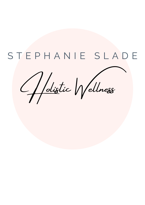# S T E P H A N I E S L A D E

Holistic Wellness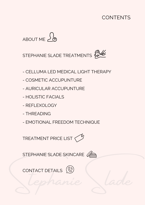### CONTENTS





- CELLUMA LED MEDICAL LIGHT THERAPY
- COSMETIC ACCUPUNTURE
- AURICULAR ACCUPUNTURE
- HOLISTIC FACIALS
- REFLEXOLOGY
- THREADING
- EMOTIONAL FREEDOM TECHNIQUE

TREATMENT PRICE LIST

STEPHANIE SLADE SKINCARE

Stephanie Slade CONTACT DETAILS (S)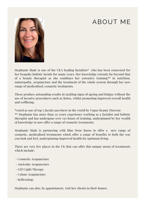## ABOUT ME



Stephanie Slade is one of the UK's leading facialists\* who has been renowned for her bespoke holistic facials for many years. Her knowledge extends far beyond that of a beauty therapist as she combines her extensive training\*\* in nutrition, naturopathy, acupuncture and the treatment of the whole system through her new range of medicalised, cosmetic treatments.

These produce astounding results in tackling signs of ageing and fatigue without the use of invasive procedures such as Botox, whilst promoting improved overall health and wellbeing.

\*voted as one of top 5 facials anywhere in the world by Vogue Beauty Director \*\* Stephanie has more than 30 years experience working as a facialist and holistic therapist and has undergone over 150 hours of training, underpinned by her wealth of knowledge to now offer a range of cosmetic treatments.

Stephanie Slade is partnering with Blue Door Barns to offer a new range of cosmetic, medicalised treatments which offer a range of benefits to both the way you look and feel, underpinning improved health for optimum living.

There are very few places in the UK that can offer this unique menu of treatments which include:

- Cosmetic Acupuncture
- Auricular Acupuncture
- LED Light Therapy
- Colour Acupuncture
- Reflexology

Stephanie can also, by appointment, visit her clients in their homes.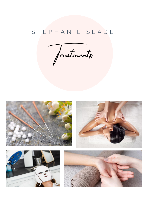### STEPHANIE SLADE

Treatments







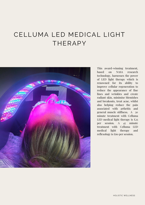## CELLUMA LED MEDICAL LIGHT THERAPY



This award-winning treatment, based on NASA research technology, harnesses the power of LED light therapy which is renowned for its ability to improve cellular regeneration to reduce the appearance of fine lines and wrinkles and create radiant skin, minimise blemishes and breakouts, treat acne, whilst also helping reduce the pain associated with arthritis and general muscle stiffness. A 30 minute treatment with Celluma LED medical light therapy is  $\text{\pounds}_{25}$ per session. A 45 minute treatment with Celluma LED medical light therapy and reflexology is £60 per session.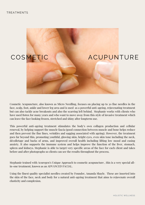

Cosmetic Acupuncture, also known as Micro Needling, focuses on placing up to 30 fine needles in the face, scalp, foot, ankle and lower leg area and is used as a powerful anti-ageing, rejuvenating treatment but can also tackle acne breakouts and also the scarring left behind. Stephanie works with clients who have used Botox for many years and who want to move away from this style of invasive treatment which can leave the face looking frozen, stretched and shiny after longterm use.

This powerful anti-ageing treatment stimulates the body's own collagen production and cellular renewal, by helping support the muscle fascia (good connection between muscle and bone helps reduce and then prevent the fine lines, wrinkles and sagging associated with ageing). However, the treatment goes far beyond this, promoting youthful, glowing skin, bright eyes, even skin tone including the neck, décolletage and backs of arms, and improved overall health including lifting low mood and easing anxiety. It also supports the immune system and helps improve the function of the liver, stomach, spleen and kidneys. Stephanie is able to target very specific areas of the face for each client and takes before and after photographs so clients can see the results throughout the process.

Stephanie trained with Acuregen's Unique Approach to cosmetic acupuncture , this is a very special allin-one treatment, known as an ADVANCED FACIAL.

Using the finest quality specialist needles created by Founder, Amanda Shayle. These are inserted into the skin of the face, neck and body for a natural anti-ageing treatment that aims to rejuvenate overall elasticity and complexion.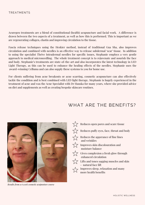#### TREATMENTS

Acuregen treatments are a blend of constitutional (health) acupuncture and facial work. A difference is drawn between the two aspects of a treatment, as well as how this is performed. This is important as we are regenerating collagen, elastin and improving circulation to the tissue.

Fascia release techniques using the Heskier method, instead of traditional Gua Sha, also improves circulation and combined with needles is an effective way to release subdermal 'scar' tissue. In addition to using the specialist Thrive Intradermal needles for specific issues, Stephanie employs a very gentle approach to medical microneedling. The whole treatment concept is to rejuvenate and nourish the face and body. Stephanie's treatments are state-of-the-art and also incorporates the latest technology in LED Light Therapy, as this can be used to enhance the healing effects of the needles. Stephanie uses the award-winning Celluma and can also supply these systems to you for home use.

For clients suffering from acne breakouts or acne scarring, cosmetic acupuncture can also effectively tackle the condition and is best combined with LED light therapy. Stephanie is hugely experienced in the treatment of acne and was the Acne Specialist with Dr Hauska for many years, where she provided advice on diet and supplements as well as creating bespoke skincare routines.

#### WHAT ARE THE BENEFITS?



*Results from a 6 week cosmetic acupunture course*

- $\frac{1}{2}$  Reduces open pores and scare tissue
- $\bigwedge^{\Lambda}$  Reduces puffy eyes, face, throat and body
- $\bigwedge_{\substack{1 \leq n \leq n}}$  Reduces the apperance of fine lines and wrinkles
- $\bigwedge_{\lambda}$  Improves skin discolouration and moisture balance
- Gives complexion a fresh glow through enhanced circulation
- $\overleftrightarrow{z}$  Lifts and tones sagging muscles and skin - natural face lift
- - $\frac{1}{\sqrt{2}}$  Improves sleep, relaxation and many more health benefits
		-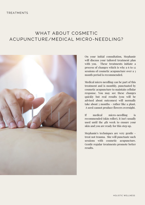#### WHAT ABOUT COSMETIC ACUPUNCTURE/MEDICAL MICRO-NEEDLING?



On your initial consultation, Stephanie will discuss your tailored treatment plan with you. These treatments initiate a process of changes which is why a 6 to 12 sessions of cosmetic acupuncture over a 3 month period is recommended.

Medical micro needling can be part of this treatment and is monthly, punctuated by cosmetic acupuncture to maintain cellular response. You may see these changes quickly but real results (you will be advised about outcomes) will normally take about 3 months - rather like a plant. A seed cannot produce flowers overnight.

If medical micro-needling is recommended (skin roller), it isn't usually used until the 4th week to ensure your skin and you are ready for this step up.

Stephanie's techniques are very gentle treat not trauma. She will punctuate such sessions with cosmetic acupuncture. Gentle regular treatments promote better results.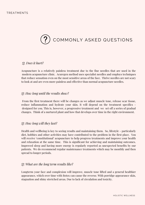

#### *Q. Does it hurt?*

Acupuncture is a relatively painless treatment due to the fine needles that are used in the modern acupuncture clinic. Acuregen method uses specialist needles and employs techniques that reduce sensation even on the most sensitive areas of the face. Thrive needles are not scary to look at and are even more painless and effective than normal acupuncture needles.

#### *Q: How long until the results show?*

From the first treatment there will be changes as we adjust muscle tone, release scar tissue, reduce inflammation and hydrate your skin. It will depend on the treatment specifics designed for you. This is, however, a progressive treatment and we set off a series of gradual changes. Think of a nurtured plant and how that develops over time in the right environment.

#### *Q: How long will they last?*

Health and wellbeing is key to seeing results and maintaining them. So, lifestyle - particularly diet, hobbies and other activities may have contributed to the problem in the first place. You will receive 'constitutional' acupuncture to help progress treatments and improve your health and relaxation at the same time. This is significant for achieving and maintaining outcomes. Improved sleep and having more energy is regularly reported as unexpected benefits by our patients. We do recommend regular maintenance treatments which may be monthly and then spread to longer periods.

#### *Q: What are the long term results like?*

Longterm your face and complexion will improve, muscle tone lifted and a general healthier appearance, which over time with Botox can cause the reverse. With porridge appearance skin, stagnation and shiny stretched areas. Due to lack of circulation and toxicity.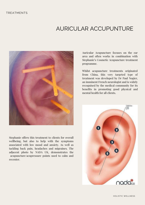### AURICULAR ACCUPUNTURE



Stephanie offers this treatment to clients for overall wellbeing, but also to help with the symptoms associated with low mood and anxiety. As well as tackling back pain, headaches and migraines. The adjacent photo by NADA UK, demonstrates the acupuncture/acupressure points used to calm and recenter.

Auricular Acupuncture focuses on the ear area and often works in combination with Stephanie's Cosmetic Acupuncture treatment programme.

Whilst acupuncture treatments originated from China, this very targeted type of treatment was developed by Dr Paul Nogier, an imminent French neurologist and is widely recognised by the medical community for its benefits in promoting good physical and mental health for all clients.

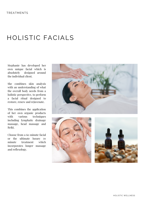### HOLISTIC FACIALS

Stephanie has developed her own unique facial which is absolutely designed around the individual client.

She combines skin analysis with an understanding of what the overall body needs from a holistic perspective, to perform a facial ritual designed to restore, renew and rejuvenate.

This combines the application of her own organic products with various techniques including lymphatic drainage massage, head massage and Reiki.

Choose from a 60 minute facial or the ultimate luxury 70 minute treatment which incorporates longer massage and reflexology.





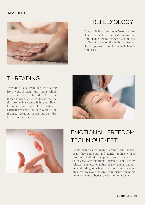#### TREATMENTS



### REFLEXOLOGY

Stephanie incorporates reflexology into her treatments to aid with relaxation and enable her to further focus on the different areas of the body connected to the pressure points on feet, hands and ears.

### THREADING

Threading is a technique originating from central Asia and India which Stephanie has perfected. A cotton thread is used, which glides across the skin, removing excess hair, and allows for much more control. Threading is particularly good for hair removal on the face including brows but can also be used under the arms.





### EMOTIONAL FREEDOM TECHNIQUE (EFT)

Using acupressure points around the hands, head, face and body and gently tapping with a soothing rhythmical sequence and using words to release any emotional tension. This gently releases anxiety, enabling clarity and a deeper understanding of where we hold our tension. This restores your natural equilibrium, enabling inner calm and a boost to your immune system.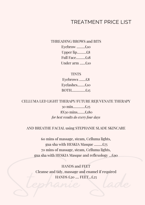#### TREATMENT PRICE LIST

THREADING/BROWS and BITS

Eyebrow .........£10 Upper lip..........£8 Full Face..........£18 Under arm ......£10

**TINTS** Eyebrows .......£8 Eyelashes........£10 BOTH...............£15

CELLUMA LED LIGHT THERAPY/FUTURE REJUVENATE THERAPY

30 min.............£25 8X30 mins........£180 *for best results do every four days*

#### AND BREATHE FACIAL using STEPHANIE SLADE SKINCARE

60 mins of massage, steam, Celluma lights, gua sha with HESKIA Masque .........£75 70 mins of massage, steam, Celluma lights, gua sha with HESKIA Masque and reflexology ...£90

HANDS £20 .... FEET ... £25 HANDS and FEET Cleanse and tidy, massage and enamel if required HANDS £20 .... FEET...£25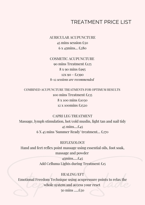#### TREATMENT PRICE LIST

AURICULAR ACUPUNCTURE 45 mins session £50 6 x 45mins... £280

COSMETIC ACUPUNCTURE 90 mins Treatment £125 8 x 90 mins £995  $12X\,90 - \text{\textsterling}1390$ 8-12 *sessions are recommended*

COMBINED ACUPUNCTURE TREATMENTS FOR OPTIMUM RESULTS mins Treatment £135 x 100 mins £1030 x 100mins £1520

CAPRI LEG TREATMENT Massage, lymph stimulation, hot/cold muslin, light tan and nail tidy 45 mins....£45 6 X 45 mins 'Summer Ready' treatment... £270

#### **REFLEXOLOGY**

Hand and feet reflex point massage using essential oils, foot soak, massage and powder

> 45mins.....£45 Add Celluma Lights during Treatment £15

#### HEALING/EFT

Emotional Freedom Technique using acupressure points to relax the<br>whole system and access your reset<br>50 mins .....£50 Emotional Freedom Technique using acupressure points to relax the whole system and access your reset 50 mins .....£50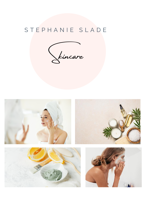### STEPHANIE SLADE

Skincare

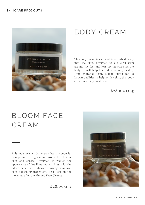

## BODY CREAM

This body cream is rich and is absorbed easily into the skin, designed to aid circulation around the feet and legs. By moisturising the body, it will help keep skin looking healthy and hydrated. Using Mango Butter for its known qualities in helping dry skin, this body cream is a daily must have.

**£28.00/1 50g**

## BLOOM FACE CREAM

This moisturising day cream has a wonderful orange and rose geranium aroma to lift your skin and senses. Designed to reduce the appearance of fine lines and wrinkles, with the added benefits of Siberian Ginseng' a natural skin tightening ingredient. Best used in the morning, after the Almond Face Cleanser.



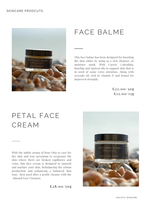

### FACE BALME

This face balme has been designed for boosting the skin either by using as a rich cleanser, or moisture mask. With Carrot, Calendula, Rosehip and Apricot oils to support skin that is in need of some extra attention. Along with avocado oil, rich in vitamin D and fennel for improved strength.

> **£22.00/30g £12.00/1 5g**

## PETAL FACE CREAM

With the subtle aroma of Rose Otto to care for dry skin and rose geranium to oxygenate the skin where there are broken capillaries and veins, this face cream is designed to nourish and nurture your skin. Rebalancing the sebum production and enhancing a balanced skin tone. Best used after a gentle cleanse with the Almond Face Cleanser.

**£28.00/ 50g**

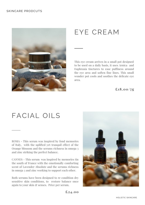

## EYE CREAM

This eye cream arrives in a small pot designed to be used on a daily basis, it uses Arnica and Euphrasia tinctures to ease puffiness around the eye area and soften fine lines. This small wonder pot cools and soothes the delicate eye area.

**£18.00/ 7g**

## FACIAL OILS

ROMA - This serum was inspired by fond memories of Italy, with the uplifted yet tranquil effect of the Orange blossom and the serums richness in omega 3 and zinc striking the perfect balance.

CANNES - This serum was inspired by memories tin the south of France with the emotionally comforting scent of Lavender Absolute and the serums richness in omega 3 and zinc working to support each other.

Both serums have been designed to re condition dry sensitive skin conditions, to restore balance once again to your skin & senses. Price per serum.



**£24.00**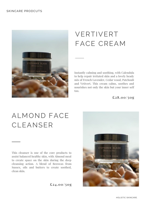

## VERTIVERT FACE CREAM

Instantly calming and soothing, with Calendula to help repair irritated skin and a lovely heady mix of French Lavender, Cedar wood, Patchouli and Vetivert. This cream calms, soothes and nourishes not only the skin but your inner self too.

**£28.00/ 50g**

## ALMOND FACE CLEANSER

This cleanser is one of the core products to assist balanced healthy skin, with Almond meal to create space on the skin during the deep cleansing action. A blend of Beeswax from Sussex, oils and butters to create soothed, clean skin.



**£24.00/ 50g**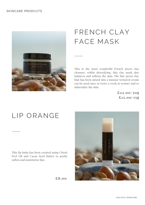

## FRENCH CLAY FACE MASK

This is the most wonderful French green clay cleanser, whilst detoxifying, this clay mask also balances and softens the skin. The fine green clay that has been mixed into a mousse textured cream can be used once or twice a week to restore and re mineralize the skin.

> **£22.00/30g £12.00/1 5g**

## LIP ORANGE

This lip balm has been created using CitruS Peel Oil and Cacao Seed Butter to gently soften and moisturise lips.



**£8.00**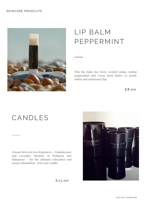#### SKINCARE PRODCUTS



## LIP BALM PEPPERMINT

This lip balm has been created using cooling peppermint and Cacao Seed Butter to gently soften and moisturise lips.

**£8.00**

## CANDLES

Choose between two fragrances - Frankincense and Lavender Absolute or Pettigran and Palmarose - for the ultimate relaxation and senses stimulation. Price per candle.



**£25 .00**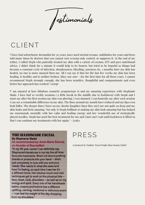Testimonials

## CLIENT

"I have had seborrhoeic dermatitis for 30 years, have used steriod creams /anitbiotics for years and been told many times by doctors that you cannot cure eczema only control, or suppress it. At the end of my tether, I called Steph who patiently treated my skin with a variety of creams, EFT and gave nutritional advice. I didn't think for a minute it would help to be honest, but tried to be hopeful as things had become a constant cycle of infection, sleeplessness, bleeding, soreness etc. 3 months later my skin has healed, no one is more amazed then me. All I can say it that for the last few weeks my skin has been healing, is healthy and is neither broken, ithcy nor sore - for the first time for all these years. I cannot recommend Steph strongly enough, she has been sensitive, thoughtful and compassionate and even better her approach has worked." *George*

I" am amazed at how fabulous cosmetic acupuncture is and my amazing experience with Stephanie Slade. I have had 10 weekly sessions ( a little break in the middle due to lockdown) with Steph and I must say after the first session my skin was glowing. I was stunned. I can honestly say after each session I can see a remarkable difference in my skin. The lines around my mouth have reduced and my lips even look fuller. The deeper lines I have on my cheeks (laughter lines they say!) are not quite as deep and my skin looks and feels amazing. Not only is Steph brilliant at making my skin look amazing but has helped me enormously mentally with her calm and healing energy and her wonderful use of strategically placed needles. Steph has used the best treatment for me and I just can't wait until lockdown is lifted so that I can continue my treatments with her again." - *Lesley*

#### **THE HANDMADE FACIAL**

**By Stephanie Slade** 

#### As recommended by: Anna-Marie Solowij, co-founder of BeautyMart

"In my 25-year career I can definitely say Stephanie's facials are in my top five all-time favourite treatments. She's not about pushing brands or products into your hand - she's just completely in tune with you and your needs. She reacts to what she sees and how I'm feeling, so each time I see her it's a different facial. Her intuitive touch and reiki techniques get to work on the physical bits face, head, neck, shoulders - as well as on my energy and spirit. Every one of her handmade balms, creams and lotions has a different uplifting, calming, medicinal or delicious scent - I can feel the weight of the day dropping from my shoulders."

### PRESS

*As featured in 'Fashion Travel People Ideas Beauty Stylist'*